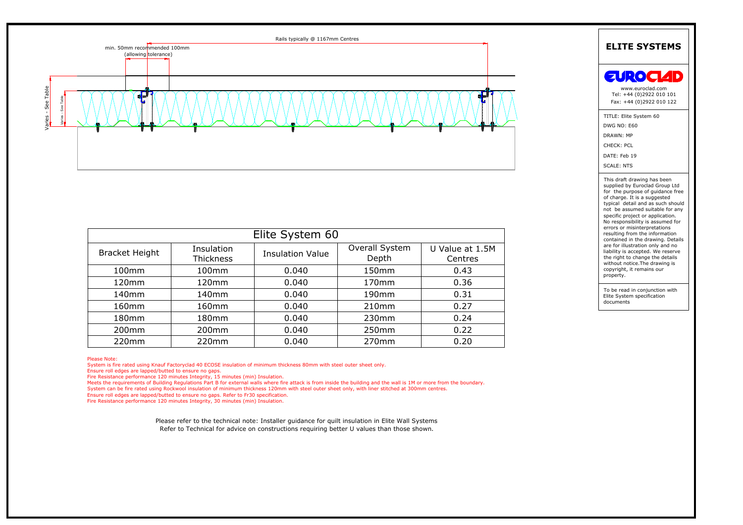

| Elite System 60       |                         |                         |                         |                            |
|-----------------------|-------------------------|-------------------------|-------------------------|----------------------------|
| <b>Bracket Height</b> | Insulation<br>Thickness | <b>Insulation Value</b> | Overall System<br>Depth | U Value at 1.5M<br>Centres |
| 100mm                 | 100 <sub>mm</sub>       | 0.040                   | 150 <sub>mm</sub>       | 0.43                       |
| 120mm                 | 120mm                   | 0.040                   | 170 <sub>mm</sub>       | 0.36                       |
| 140 <sub>mm</sub>     | 140 <sub>mm</sub>       | 0.040                   | 190 <sub>mm</sub>       | 0.31                       |
| 160 <sub>mm</sub>     | 160 <sub>mm</sub>       | 0.040                   | 210 <sub>mm</sub>       | 0.27                       |
| 180 <sub>mm</sub>     | 180 <sub>mm</sub>       | 0.040                   | 230 <sub>mm</sub>       | 0.24                       |
| 200 <sub>mm</sub>     | 200 <sub>mm</sub>       | 0.040                   | 250 <sub>mm</sub>       | 0.22                       |
| 220mm                 | 220mm                   | 0.040                   | 270mm                   | 0.20                       |

Ensure roll edges are lapped/butted to ensure no gaps.<br>
Fire Resistance performance 120 minutes Integrity, 15 minutes (min) Insulation.<br>
Meets the requirements of Building Regulations Part B for external walls where fire a

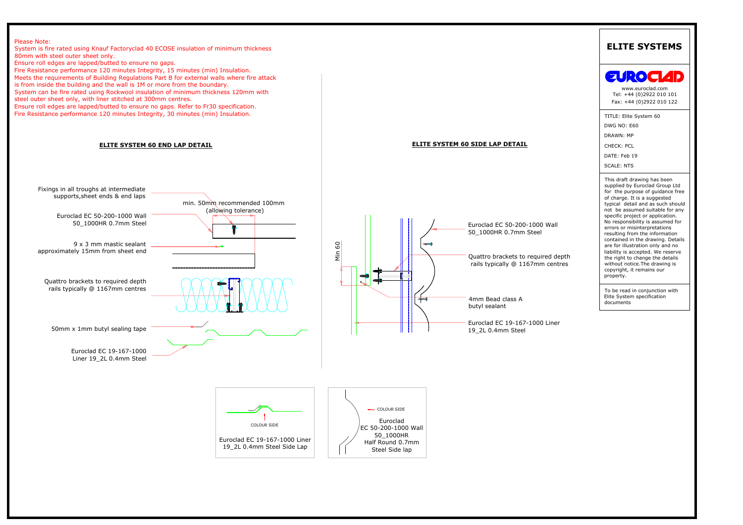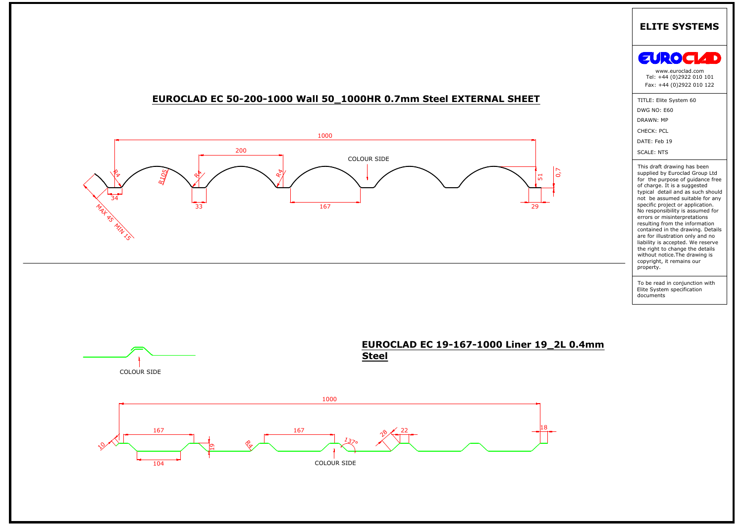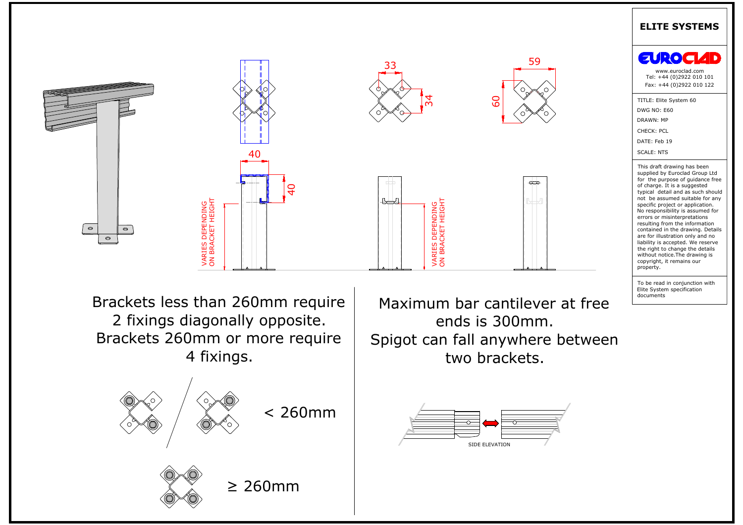

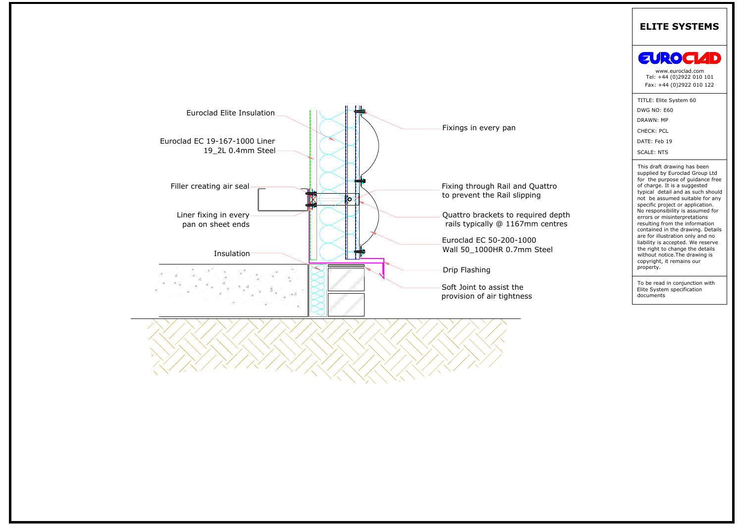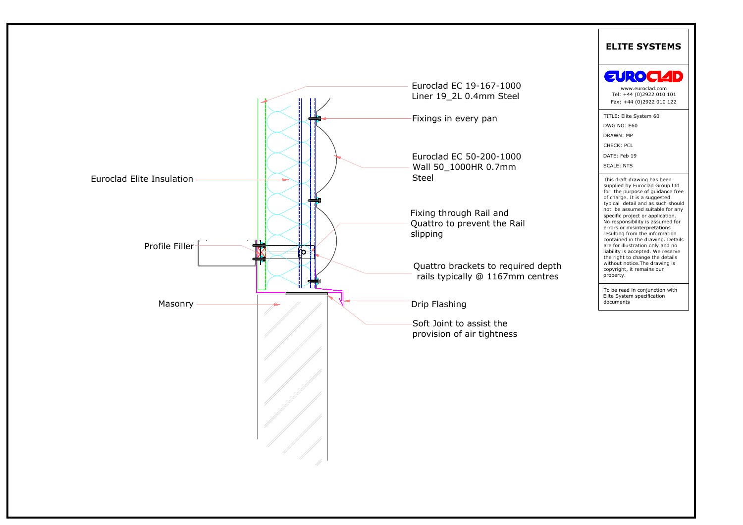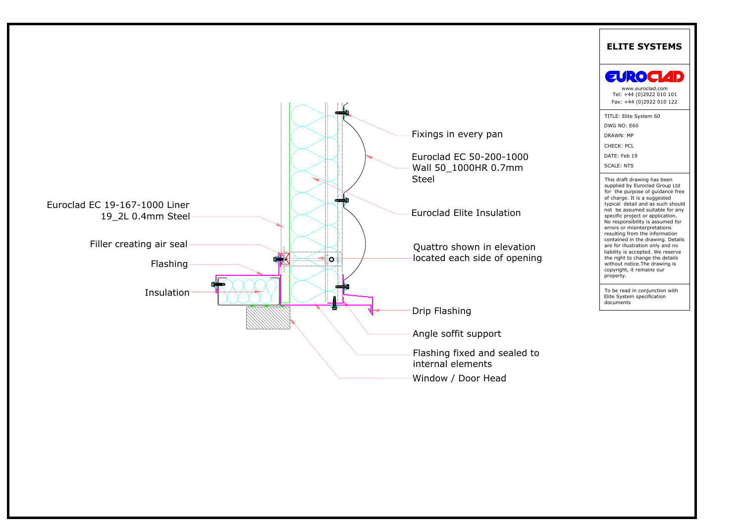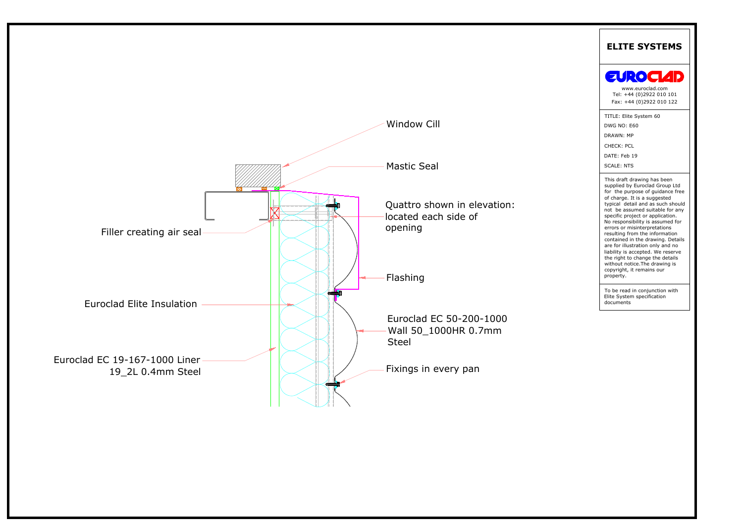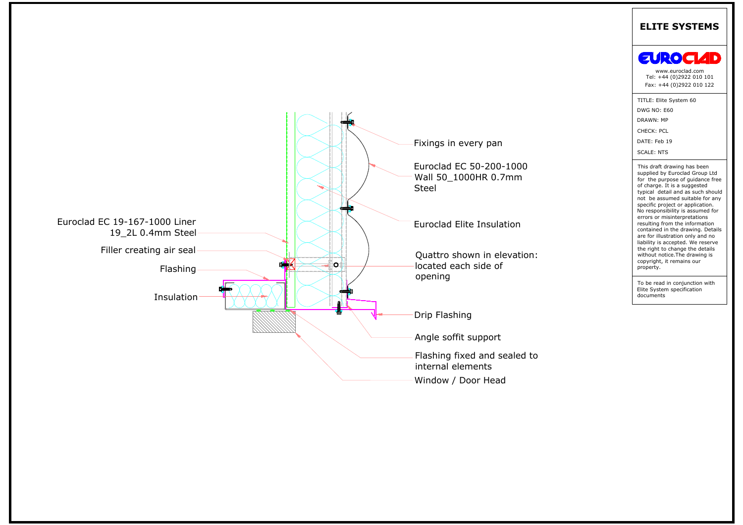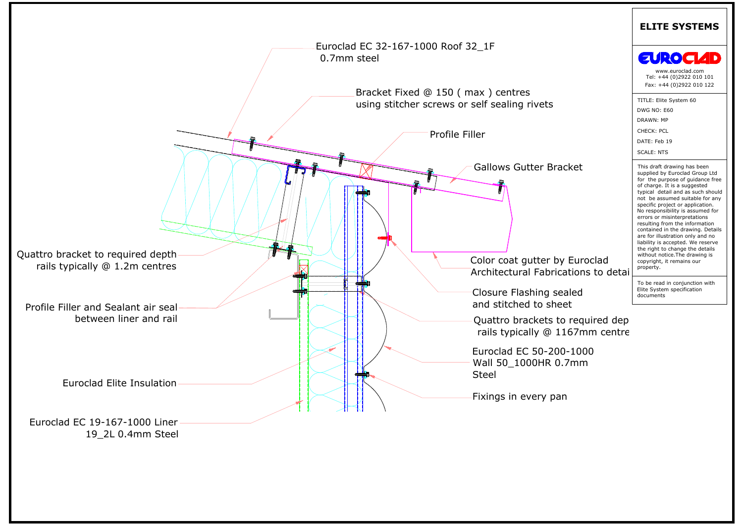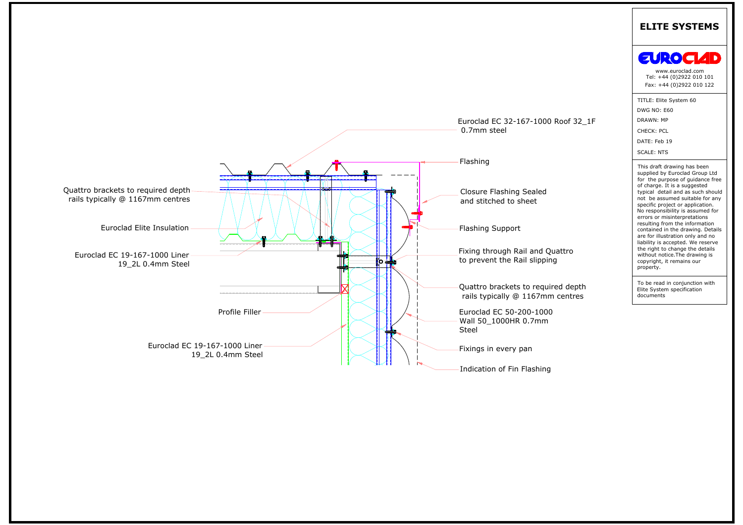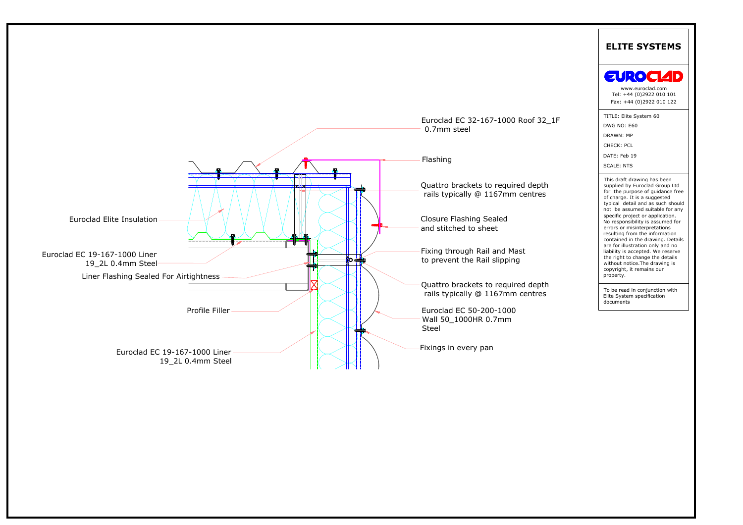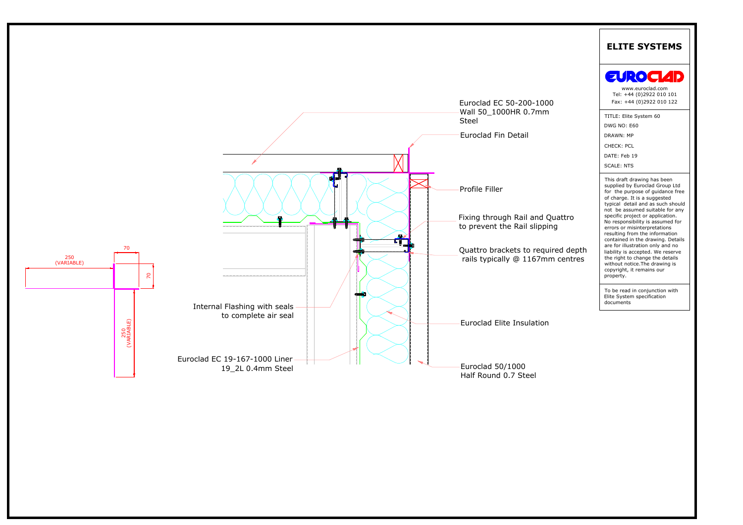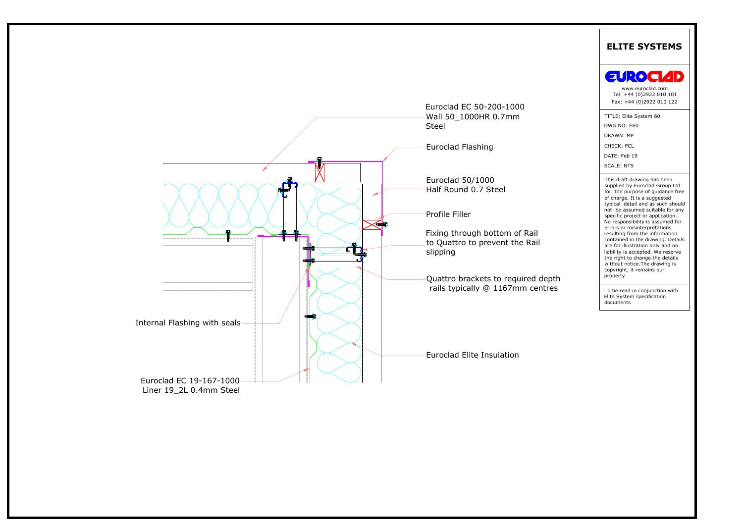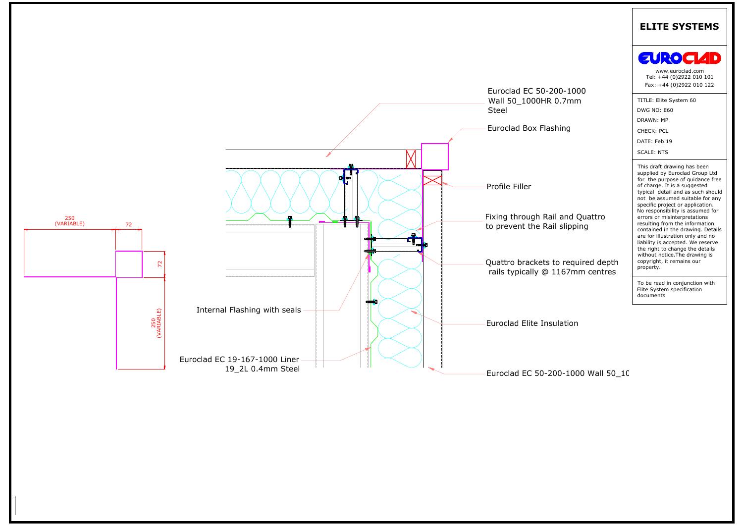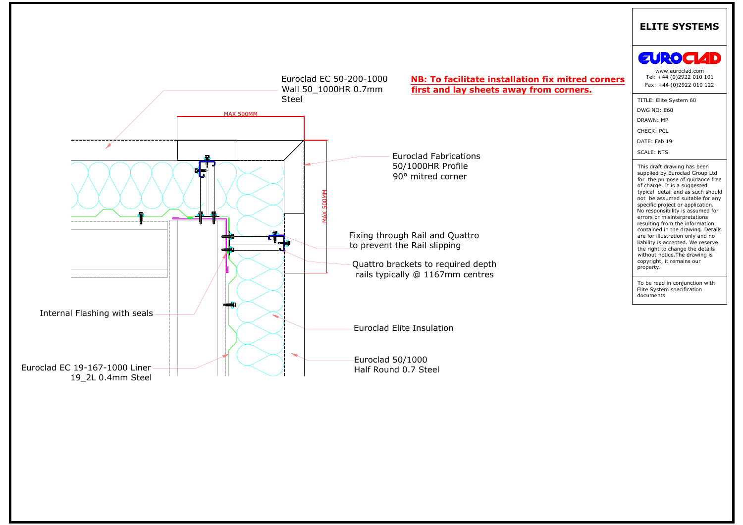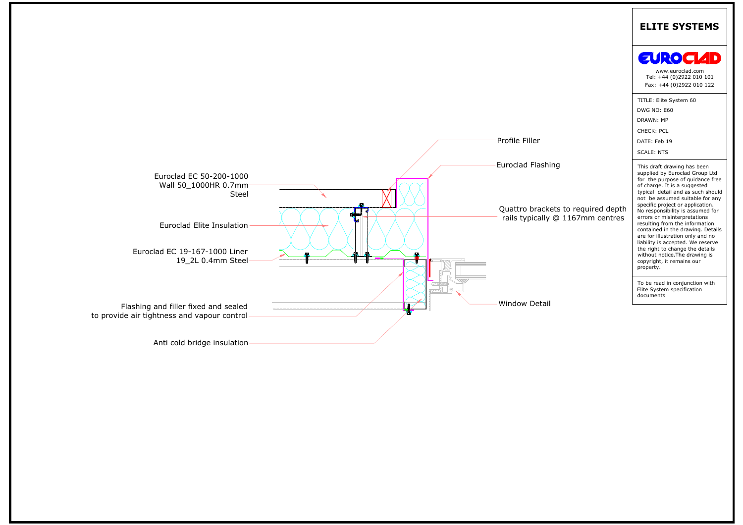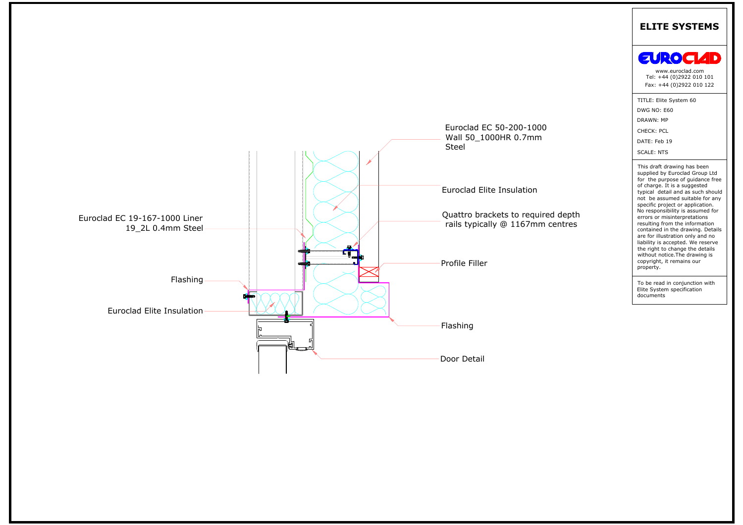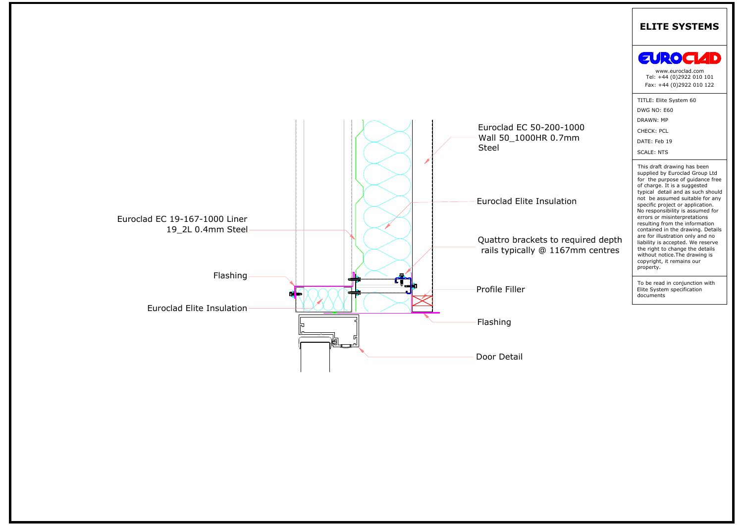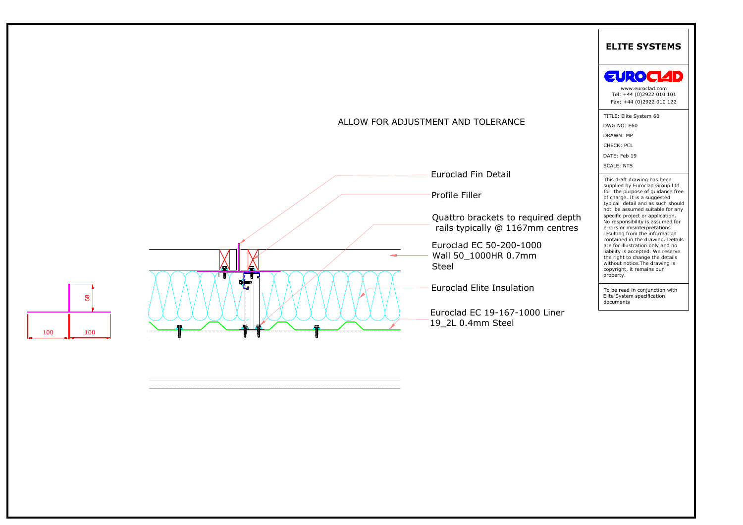